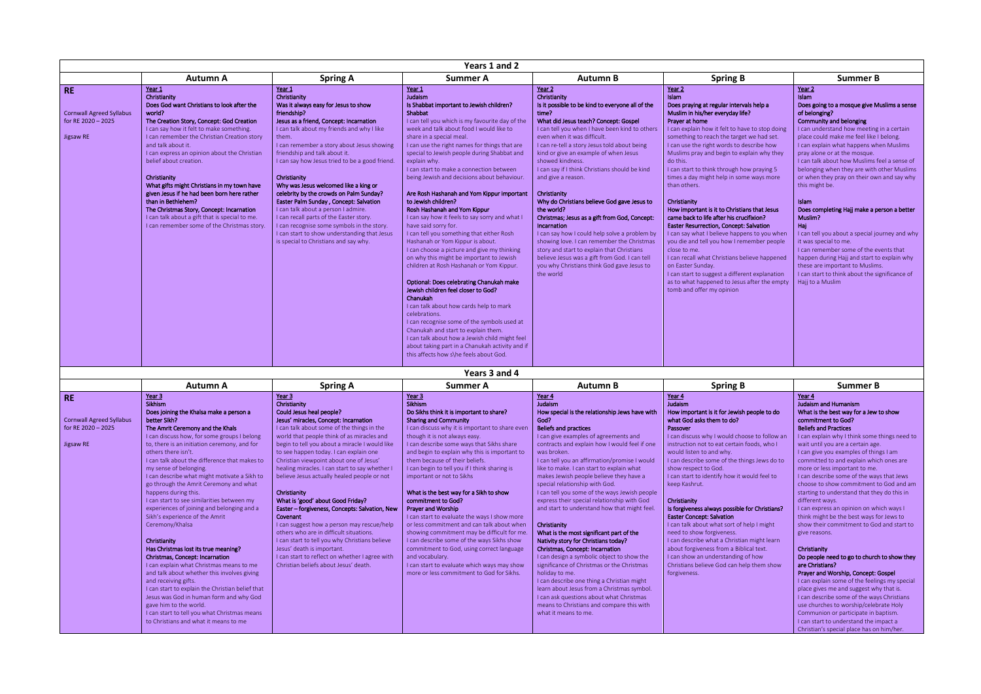| Years 1 and 2                                                                   |                                                                                                                                                                                                                                                                                                                                                                                                                                                                                                                                                                                                          |                                                                                                                                                                                                                                                                                                                                                                                                                                                                                                                                                                                                                                                                                         |                                                                                                                                                                                                                                                                                                                                                                                                                                                                                                                                                                                                                                                                                                                                                                                                                                                                                                                                                                                                                                                                                                                                                                                                                       |                                                                                                                                                                                                                                                                                                                                                                                                                                                                                                                                                                                                                                                                                                                                                                                                          |                                                                                                                                                                                                                                                                                                                                                                                                                                                                                                                                                                                                                                                                                                                                                                                                                                                                                                                                |                                                                                                                                                                                                                                                                                                                                                                                                                                                                                                                                                                                                                                                                                                                                                                                                                  |  |
|---------------------------------------------------------------------------------|----------------------------------------------------------------------------------------------------------------------------------------------------------------------------------------------------------------------------------------------------------------------------------------------------------------------------------------------------------------------------------------------------------------------------------------------------------------------------------------------------------------------------------------------------------------------------------------------------------|-----------------------------------------------------------------------------------------------------------------------------------------------------------------------------------------------------------------------------------------------------------------------------------------------------------------------------------------------------------------------------------------------------------------------------------------------------------------------------------------------------------------------------------------------------------------------------------------------------------------------------------------------------------------------------------------|-----------------------------------------------------------------------------------------------------------------------------------------------------------------------------------------------------------------------------------------------------------------------------------------------------------------------------------------------------------------------------------------------------------------------------------------------------------------------------------------------------------------------------------------------------------------------------------------------------------------------------------------------------------------------------------------------------------------------------------------------------------------------------------------------------------------------------------------------------------------------------------------------------------------------------------------------------------------------------------------------------------------------------------------------------------------------------------------------------------------------------------------------------------------------------------------------------------------------|----------------------------------------------------------------------------------------------------------------------------------------------------------------------------------------------------------------------------------------------------------------------------------------------------------------------------------------------------------------------------------------------------------------------------------------------------------------------------------------------------------------------------------------------------------------------------------------------------------------------------------------------------------------------------------------------------------------------------------------------------------------------------------------------------------|--------------------------------------------------------------------------------------------------------------------------------------------------------------------------------------------------------------------------------------------------------------------------------------------------------------------------------------------------------------------------------------------------------------------------------------------------------------------------------------------------------------------------------------------------------------------------------------------------------------------------------------------------------------------------------------------------------------------------------------------------------------------------------------------------------------------------------------------------------------------------------------------------------------------------------|------------------------------------------------------------------------------------------------------------------------------------------------------------------------------------------------------------------------------------------------------------------------------------------------------------------------------------------------------------------------------------------------------------------------------------------------------------------------------------------------------------------------------------------------------------------------------------------------------------------------------------------------------------------------------------------------------------------------------------------------------------------------------------------------------------------|--|
|                                                                                 | <b>Autumn A</b>                                                                                                                                                                                                                                                                                                                                                                                                                                                                                                                                                                                          | <b>Spring A</b>                                                                                                                                                                                                                                                                                                                                                                                                                                                                                                                                                                                                                                                                         | <b>Summer A</b>                                                                                                                                                                                                                                                                                                                                                                                                                                                                                                                                                                                                                                                                                                                                                                                                                                                                                                                                                                                                                                                                                                                                                                                                       | <b>Autumn B</b>                                                                                                                                                                                                                                                                                                                                                                                                                                                                                                                                                                                                                                                                                                                                                                                          | <b>Spring B</b>                                                                                                                                                                                                                                                                                                                                                                                                                                                                                                                                                                                                                                                                                                                                                                                                                                                                                                                | <b>Summer B</b>                                                                                                                                                                                                                                                                                                                                                                                                                                                                                                                                                                                                                                                                                                                                                                                                  |  |
| <b>RE</b><br><b>Cornwall Agreed Syllabus</b><br>for RE 2020 - 2025<br>Jigsaw RE | Year 1<br>Christianity<br>Does God want Christians to look after the<br>world?<br>The Creation Story, Concept: God Creation<br>I can say how it felt to make something.<br>I can remember the Christian Creation story<br>and talk about it.<br>I can express an opinion about the Christian<br>belief about creation.<br>Christianity<br>What gifts might Christians in my town have<br>given Jesus if he had been born here rather<br>than in Bethlehem?<br>The Christmas Story, Concept: Incarnation<br>I can talk about a gift that is special to me.<br>I can remember some of the Christmas story. | Year 1<br>Christianity<br>Was it always easy for Jesus to show<br>friendship?<br>Jesus as a friend, Concept: Incarnation<br>I can talk about my friends and why I like<br>them.<br>I can remember a story about Jesus showing<br>friendship and talk about it.<br>I can say how Jesus tried to be a good friend.<br>Christianity<br>Why was Jesus welcomed like a king or<br>celebrity by the crowds on Palm Sunday?<br>Easter Palm Sunday, Concept: Salvation<br>I can talk about a person I admire.<br>I can recall parts of the Easter story.<br>I can recognise some symbols in the story.<br>I can start to show understanding that Jesus<br>is special to Christians and say why. | Year 1<br>Judaism<br>Is Shabbat important to Jewish children?<br>Shabbat<br>I can tell you which is my favourite day of the<br>week and talk about food I would like to<br>share in a special meal.<br>I can use the right names for things that are<br>special to Jewish people during Shabbat and<br>explain why.<br>I can start to make a connection between<br>being Jewish and decisions about behaviour.<br>Are Rosh Hashanah and Yom Kippur important<br>to Jewish children?<br>Rosh Hashanah and Yom Kippur<br>I can say how it feels to say sorry and what I<br>have said sorry for.<br>I can tell you something that either Rosh<br>Hashanah or Yom Kippur is about.<br>I can choose a picture and give my thinking<br>on why this might be important to Jewish<br>children at Rosh Hashanah or Yom Kippur.<br>Optional: Does celebrating Chanukah make<br>Jewish children feel closer to God?<br>Chanukah<br>I can talk about how cards help to mark<br>celebrations.<br>I can recognise some of the symbols used at<br>Chanukah and start to explain them.<br>I can talk about how a Jewish child might feel<br>about taking part in a Chanukah activity and if<br>this affects how s\he feels about God. | Year 2<br>Christianity<br>Is it possible to be kind to everyone all of the<br>time?<br>What did Jesus teach? Concept: Gospel<br>I can tell you when I have been kind to others<br>even when it was difficult.<br>I can re-tell a story Jesus told about being<br>kind or give an example of when Jesus<br>showed kindness.<br>I can say if I think Christians should be kind<br>and give a reason.<br>Christianity<br>Why do Christians believe God gave Jesus to<br>the world?<br>Christmas; Jesus as a gift from God, Concept:<br>Incarnation<br>I can say how I could help solve a problem by<br>showing love. I can remember the Christmas<br>story and start to explain that Christians<br>believe Jesus was a gift from God. I can tell<br>you why Christians think God gave Jesus to<br>the world | Year <sub>2</sub><br>Islam<br>Does praying at regular intervals help a<br>Muslim in his/her everyday life?<br>Prayer at home<br>I can explain how it felt to have to stop doing<br>something to reach the target we had set.<br>I can use the right words to describe how<br>Muslims pray and begin to explain why they<br>do this.<br>I can start to think through how praying 5<br>times a day might help in some ways more<br>than others.<br>Christianity<br>How important is it to Christians that Jesus<br>came back to life after his crucifixion?<br><b>Easter Resurrection, Concept: Salvation</b><br>I can say what I believe happens to you when<br>you die and tell you how I remember people<br>close to me.<br>I can recall what Christians believe happened<br>on Easter Sunday.<br>I can start to suggest a different explanation<br>as to what happened to Jesus after the empty<br>tomb and offer my opinion | Year 2<br><b>Islam</b><br>Does going to a mosque give Muslims a sense<br>of belonging?<br>Community and belonging<br>I can understand how meeting in a certain<br>place could make me feel like I belong.<br>I can explain what happens when Muslims<br>pray alone or at the mosque.<br>I can talk about how Muslims feel a sense of<br>belonging when they are with other Muslims<br>or when they pray on their own and say why<br>this might be.<br><b>Islam</b><br>Does completing Hajj make a person a better<br>Muslim?<br>Haj<br>I can tell you about a special journey and why<br>it was special to me.<br>I can remember some of the events that<br>happen during Hajj and start to explain why<br>these are important to Muslims.<br>I can start to think about the significance of<br>Haji to a Muslim |  |
| Years 3 and 4                                                                   |                                                                                                                                                                                                                                                                                                                                                                                                                                                                                                                                                                                                          |                                                                                                                                                                                                                                                                                                                                                                                                                                                                                                                                                                                                                                                                                         |                                                                                                                                                                                                                                                                                                                                                                                                                                                                                                                                                                                                                                                                                                                                                                                                                                                                                                                                                                                                                                                                                                                                                                                                                       |                                                                                                                                                                                                                                                                                                                                                                                                                                                                                                                                                                                                                                                                                                                                                                                                          |                                                                                                                                                                                                                                                                                                                                                                                                                                                                                                                                                                                                                                                                                                                                                                                                                                                                                                                                |                                                                                                                                                                                                                                                                                                                                                                                                                                                                                                                                                                                                                                                                                                                                                                                                                  |  |

|                                 | Autumn A                                         | <b>Spring A</b>                                | . <del>.</del><br>Summer A                      | Autumn B                                       | <b>Spring B</b>                                | Summer B                                      |
|---------------------------------|--------------------------------------------------|------------------------------------------------|-------------------------------------------------|------------------------------------------------|------------------------------------------------|-----------------------------------------------|
|                                 |                                                  |                                                |                                                 |                                                |                                                |                                               |
| <b>RE</b>                       | Year 3<br>Sikhism                                | Year <sub>3</sub>                              | Year <sub>3</sub>                               | Year 4<br>Judaism                              | Year 4<br>Judaism                              | Year 4                                        |
|                                 |                                                  | Christianity                                   | Sikhism                                         |                                                |                                                | <b>Judaism and Humanism</b>                   |
|                                 | Does joining the Khalsa make a person a          | Could Jesus heal people?                       | Do Sikhs think it is important to share?        | How special is the relationship Jews have with | How important is it for Jewish people to do    | What is the best way for a Jew to show        |
| <b>Cornwall Agreed Syllabus</b> | better Sikh?                                     | Jesus' miracles, Concept: Incarnation          | <b>Sharing and Community</b>                    | God?                                           | what God asks them to do?                      | commitment to God?                            |
| for RE 2020 - 2025              | The Amrit Ceremony and the Khals                 | I can talk about some of the things in the     | I can discuss why it is important to share even | <b>Beliefs and practices</b>                   | Passover                                       | <b>Beliefs and Practices</b>                  |
|                                 | I can discuss how, for some groups I belong      | world that people think of as miracles and     | though it is not always easy.                   | I can give examples of agreements and          | I can discuss why I would choose to follow an  | I can explain why I think some things need to |
| Jigsaw RE                       | to, there is an initiation ceremony, and for     | begin to tell you about a miracle I would like | I can describe some ways that Sikhs share       | contracts and explain how I would feel if one  | instruction not to eat certain foods, who I    | wait until you are a certain age.             |
|                                 | others there isn't.                              | to see happen today. I can explain one         | and begin to explain why this is important to   | was broken.                                    | would listen to and why.                       | I can give you examples of things I am        |
|                                 | I can talk about the difference that makes to    | Christian viewpoint about one of Jesus'        | them because of their beliefs.                  | I can tell you an affirmation/promise I would  | I can describe some of the things Jews do to   | committed to and explain which ones are       |
|                                 | my sense of belonging.                           | healing miracles. I can start to say whether I | I can begin to tell you if I think sharing is   | like to make. I can start to explain what      | show respect to God.                           | more or less important to me.                 |
|                                 | I can describe what might motivate a Sikh to     | believe Jesus actually healed people or not    | important or not to Sikhs                       | makes Jewish people believe they have a        | I can start to identify how it would feel to   | I can describe some of the ways that Jews     |
|                                 | go through the Amrit Ceremony and what           |                                                |                                                 | special relationship with God.                 | keep Kashrut.                                  | choose to show commitment to God and am       |
|                                 | happens during this.                             | Christianity                                   | What is the best way for a Sikh to show         | I can tell you some of the ways Jewish people  |                                                | starting to understand that they do this in   |
|                                 | I can start to see similarities between my       | What is 'good' about Good Friday?              | commitment to God?                              | express their special relationship with God    | Christianity                                   | different ways.                               |
|                                 | experiences of joining and belonging and a       | Easter – forgiveness, Concepts: Salvation, New | <b>Prayer and Worship</b>                       | and start to understand how that might feel.   | Is forgiveness always possible for Christians? | I can express an opinion on which ways I      |
|                                 | Sikh's experience of the Amrit                   | Covenant                                       | I can start to evaluate the ways I show more    |                                                | <b>Easter Concept: Salvation</b>               | think might be the best ways for Jews to      |
|                                 | Ceremony/Khalsa                                  | I can suggest how a person may rescue/help     | or less commitment and can talk about when      | Christianity                                   | I can talk about what sort of help I might     | show their commitment to God and start to     |
|                                 |                                                  | others who are in difficult situations.        | showing commitment may be difficult for me.     | What is the most significant part of the       | need to show forgiveness.                      | give reasons.                                 |
|                                 | Christianity                                     | I can start to tell you why Christians believe | I can describe some of the ways Sikhs show      | Nativity story for Christians today?           | I can describe what a Christian might learn    |                                               |
|                                 | Has Christmas lost its true meaning?             | Jesus' death is important.                     | commitment to God, using correct language       | Christmas, Concept: Incarnation                | about forgiveness from a Biblical text.        | Christianity                                  |
|                                 | Christmas, Concept: Incarnation                  | I can start to reflect on whether I agree with | and vocabulary.                                 | I can design a symbolic object to show the     | I can show an understanding of how             | Do people need to go to church to show they   |
|                                 | I can explain what Christmas means to me         | Christian beliefs about Jesus' death.          | I can start to evaluate which ways may show     | significance of Christmas or the Christmas     | Christians believe God can help them show      | are Christians?                               |
|                                 | and talk about whether this involves giving      |                                                | more or less commitment to God for Sikhs.       | holiday to me.                                 | forgiveness.                                   | Prayer and Worship, Concept: Gospel           |
|                                 | and receiving gifts.                             |                                                |                                                 | I can describe one thing a Christian might     |                                                | I can explain some of the feelings my special |
|                                 | I can start to explain the Christian belief that |                                                |                                                 | learn about Jesus from a Christmas symbol.     |                                                | place gives me and suggest why that is.       |
|                                 | Jesus was God in human form and why God          |                                                |                                                 | I can ask questions about what Christmas       |                                                | I can describe some of the ways Christians    |
|                                 | gave him to the world.                           |                                                |                                                 | means to Christians and compare this with      |                                                | use churches to worship/celebrate Holy        |
|                                 | I can start to tell you what Christmas means     |                                                |                                                 | what it means to me.                           |                                                | Communion or participate in baptism.          |
|                                 | to Christians and what it means to me            |                                                |                                                 |                                                |                                                | I can start to understand the impact a        |
|                                 |                                                  |                                                |                                                 |                                                |                                                | Christian's special place has on him/her.     |